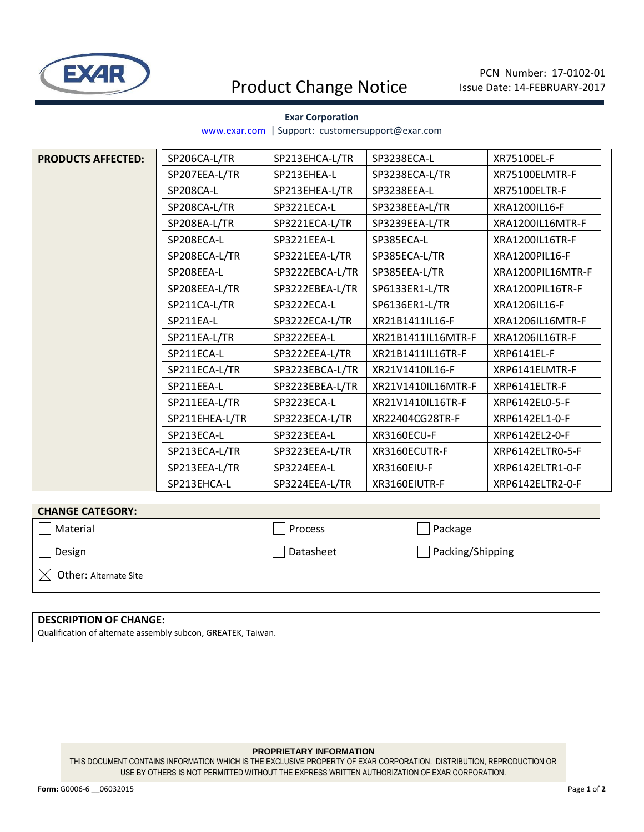

# Product Change Notice

### **Exar Corporation**

[www.exar.com](http://www.exar.com/) | Support: customersupport@exar.com

| <b>PRODUCTS AFFECTED:</b> | SP206CA-L/TR   | SP213EHCA-L/TR  | SP3238ECA-L        | XR75100EL-F       |
|---------------------------|----------------|-----------------|--------------------|-------------------|
|                           | SP207EEA-L/TR  | SP213EHEA-L     | SP3238ECA-L/TR     | XR75100ELMTR-F    |
|                           | SP208CA-L      | SP213EHEA-L/TR  | SP3238EEA-L        | XR75100ELTR-F     |
|                           | SP208CA-L/TR   | SP3221ECA-L     | SP3238EEA-L/TR     | XRA1200IL16-F     |
|                           | SP208EA-L/TR   | SP3221ECA-L/TR  | SP3239EEA-L/TR     | XRA1200IL16MTR-F  |
|                           | SP208ECA-L     | SP3221EEA-L     | SP385ECA-L         | XRA1200IL16TR-F   |
|                           | SP208ECA-L/TR  | SP3221EEA-L/TR  | SP385ECA-L/TR      | XRA1200PIL16-F    |
|                           | SP208EEA-L     | SP3222EBCA-L/TR | SP385EEA-L/TR      | XRA1200PIL16MTR-F |
|                           | SP208EEA-L/TR  | SP3222EBEA-L/TR | SP6133ER1-L/TR     | XRA1200PIL16TR-F  |
|                           | SP211CA-L/TR   | SP3222ECA-L     | SP6136ER1-L/TR     | XRA1206IL16-F     |
|                           | SP211EA-L      | SP3222ECA-L/TR  | XR21B1411IL16-F    | XRA1206IL16MTR-F  |
|                           | SP211EA-L/TR   | SP3222EEA-L     | XR21B1411IL16MTR-F | XRA1206IL16TR-F   |
|                           | SP211ECA-L     | SP3222EEA-L/TR  | XR21B1411IL16TR-F  | XRP6141EL-F       |
|                           | SP211ECA-L/TR  | SP3223EBCA-L/TR | XR21V1410IL16-F    | XRP6141ELMTR-F    |
|                           | SP211EEA-L     | SP3223EBEA-L/TR | XR21V1410IL16MTR-F | XRP6141ELTR-F     |
|                           | SP211EEA-L/TR  | SP3223ECA-L     | XR21V1410IL16TR-F  | XRP6142EL0-5-F    |
|                           | SP211EHEA-L/TR | SP3223ECA-L/TR  | XR22404CG28TR-F    | XRP6142EL1-0-F    |
|                           | SP213ECA-L     | SP3223EEA-L     | XR3160ECU-F        | XRP6142EL2-0-F    |
|                           | SP213ECA-L/TR  | SP3223EEA-L/TR  | XR3160ECUTR-F      | XRP6142ELTR0-5-F  |
|                           | SP213EEA-L/TR  | SP3224EEA-L     | XR3160EIU-F        | XRP6142ELTR1-0-F  |
|                           | SP213EHCA-L    | SP3224EEA-L/TR  | XR3160EIUTR-F      | XRP6142ELTR2-0-F  |

| <b>CHANGE CATEGORY:</b>           |           |                  |  |  |  |
|-----------------------------------|-----------|------------------|--|--|--|
| Material                          | Process   | Package          |  |  |  |
| Design                            | Datasheet | Packing/Shipping |  |  |  |
| $\boxtimes$ Other: Alternate Site |           |                  |  |  |  |
|                                   |           |                  |  |  |  |

## **DESCRIPTION OF CHANGE:**

Qualification of alternate assembly subcon, GREATEK, Taiwan.

#### **PROPRIETARY INFORMATION**

THIS DOCUMENT CONTAINS INFORMATION WHICH IS THE EXCLUSIVE PROPERTY OF EXAR CORPORATION. DISTRIBUTION, REPRODUCTION OR USE BY OTHERS IS NOT PERMITTED WITHOUT THE EXPRESS WRITTEN AUTHORIZATION OF EXAR CORPORATION.